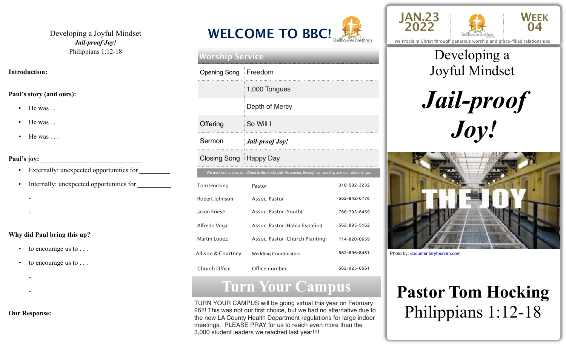Developing a Joyful Mindset *Jail-proof Joy!*  Philippians 1:12-18

#### **Introduction:**

### **Paul's story (and ours):**

- $\bullet$  He was ...
- $\bullet$  He was ...
- $\bullet$  He was ...

### Paul's joy:

-

- Externally: unexpected opportunities for \_\_\_\_\_\_\_\_\_
- Internally: unexpected opportunities for
- -
- **Why did Paul bring this up?** 
	- to encourage us to . . .
	- to encourage us to . . .
- -
- -

### **Our Response:**



| <b>Worship Service</b> |                                                                                                        |              |  |  |
|------------------------|--------------------------------------------------------------------------------------------------------|--------------|--|--|
| <b>Opening Song</b>    | Freedom                                                                                                |              |  |  |
|                        | 1,000 Tongues                                                                                          |              |  |  |
|                        | Depth of Mercy                                                                                         |              |  |  |
| Offering               | So Will I                                                                                              |              |  |  |
| Sermon                 | Jail-proof Joy!                                                                                        |              |  |  |
| Closing Song Happy Day |                                                                                                        |              |  |  |
|                        | We are here to proclaim Christ to the world until He comes, through our worship and our relationships. |              |  |  |
| <b>Tom Hocking</b>     | Pastor                                                                                                 | 310-502-3232 |  |  |
|                        |                                                                                                        |              |  |  |
| Robert Johnson         | Assoc. Pastor                                                                                          | 562-842-6770 |  |  |
| Jason Friese           | Assoc. Pastor (Youth)                                                                                  | 760-703-8459 |  |  |
| Alfredo Vega           | Assoc. Pastor (Habla Español)                                                                          | 562-895-5162 |  |  |
| Martin Lopez           | Assoc. Pastor (Church Planting)                                                                        | 714-820-0659 |  |  |
| Allison & Courtney     | <b>Wedding Coordinators</b>                                                                            | 562-896-8457 |  |  |

# **Turn Your Campus**

TURN YOUR CAMPUS will be going virtual this year on February 26!!! This was not our first choice, but we had no alternative due to the new LA County Health Department regulations for large indoor meetings. PLEASE PRAY for us to reach even more than the 3,000 student leaders we reached last year!!!!





We Proclaim Christ through generous worship and grace-filled relationships

## \_\_\_\_\_\_\_\_\_\_\_\_\_\_\_\_\_\_\_\_\_\_\_\_\_\_\_\_\_\_\_\_\_\_\_\_\_\_\_\_\_\_\_\_\_\_\_\_\_ Developing a Joyful Mindset

*Jail-proof Joy!*



Photo by: [documentaryheaven.com](http://documentaryheaven.com)

# **Pastor Tom Hocking**  Philippians 1:12-18